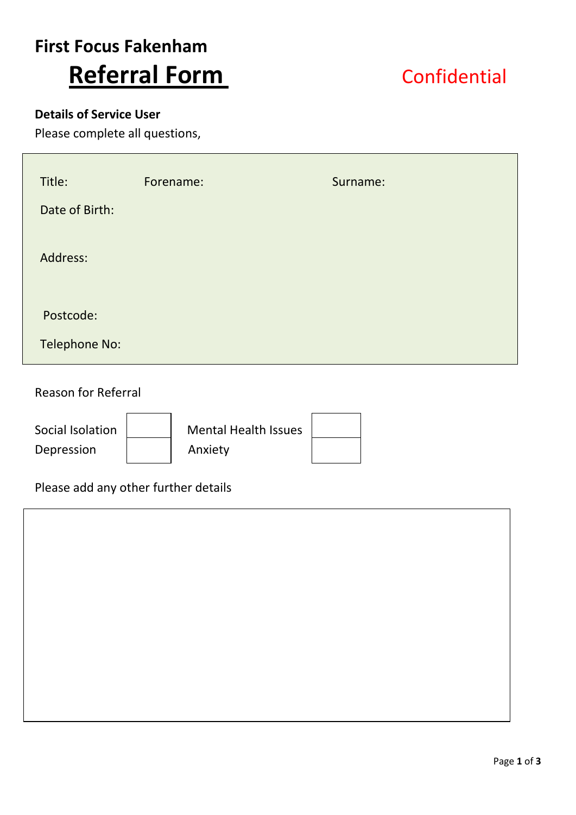# **First Focus Fakenham Referral Form** Confidential

### **Details of Service User**

Please complete all questions,

| Title:         | Forename: | Surname: |
|----------------|-----------|----------|
| Date of Birth: |           |          |
| Address:       |           |          |
| Postcode:      |           |          |
| Telephone No:  |           |          |

Reason for Referral

Depression | Anxiety

Social Isolation | Nental Health Issues

### Please add any other further details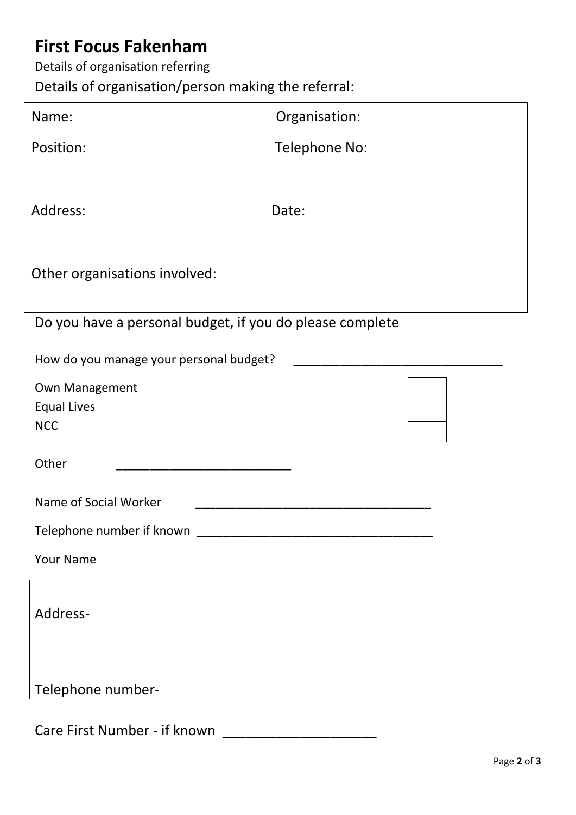## **First Focus Fakenham**

Details of organisation referring

Details of organisation/person making the referral:

| Name:                                                    | Organisation: |  |  |  |
|----------------------------------------------------------|---------------|--|--|--|
| Position:                                                | Telephone No: |  |  |  |
|                                                          |               |  |  |  |
| Address:                                                 | Date:         |  |  |  |
| Other organisations involved:                            |               |  |  |  |
|                                                          |               |  |  |  |
| Do you have a personal budget, if you do please complete |               |  |  |  |
| How do you manage your personal budget?                  |               |  |  |  |
| Own Management                                           |               |  |  |  |
| <b>Equal Lives</b>                                       |               |  |  |  |
| <b>NCC</b>                                               |               |  |  |  |
| Other                                                    |               |  |  |  |
| Name of Social Worker                                    |               |  |  |  |
| Telephone number if known                                |               |  |  |  |
| <b>Your Name</b>                                         |               |  |  |  |
|                                                          |               |  |  |  |
| Address-                                                 |               |  |  |  |
|                                                          |               |  |  |  |
| Telephone number-                                        |               |  |  |  |
|                                                          |               |  |  |  |

Care First Number - if known \_\_\_\_\_\_\_\_\_\_\_\_\_\_\_\_\_\_\_\_